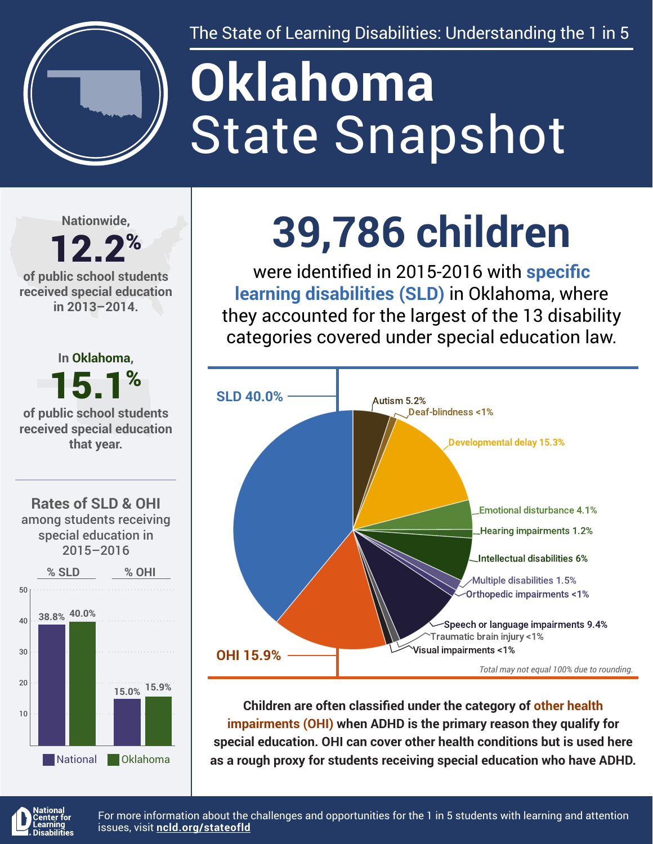

The State of Learning Disabilities: Understanding the 1 in 5

# State Snapshot **Oklahoma**

**Nationwide,**

### 12.2% **of public school students**

**received special education in 2013–2014.**



## **39,786 children**

were identified in 2015-2016 with **specific learning disabilities (SLD)** in Oklahoma, where they accounted for the largest of the 13 disability categories covered under special education law.



**Children are often classified under the category of other health impairments (OHI) when ADHD is the primary reason they qualify for special education. OHI can cover other health conditions but is used here as a rough proxy for students receiving special education who have ADHD.**



For more information about the challenges and opportunities for the 1 in 5 students with learning and attention issues, visit **[ncld.org/stateofld](http://ncld.org/stateofld)**